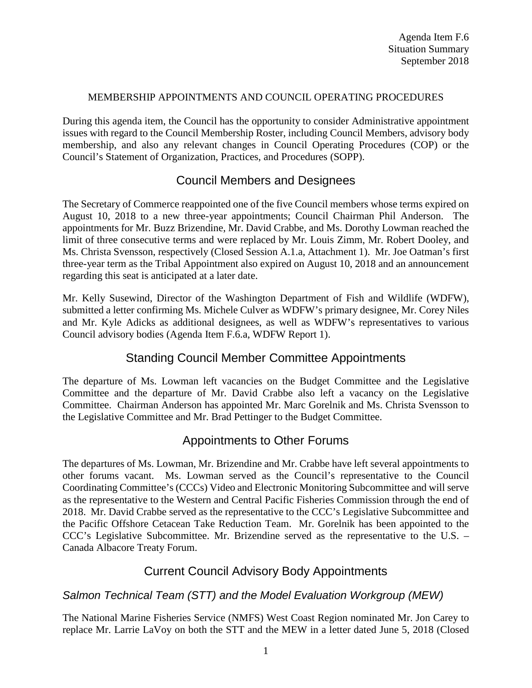#### MEMBERSHIP APPOINTMENTS AND COUNCIL OPERATING PROCEDURES

During this agenda item, the Council has the opportunity to consider Administrative appointment issues with regard to the Council Membership Roster, including Council Members, advisory body membership, and also any relevant changes in Council Operating Procedures (COP) or the Council's Statement of Organization, Practices, and Procedures (SOPP).

## Council Members and Designees

The Secretary of Commerce reappointed one of the five Council members whose terms expired on August 10, 2018 to a new three-year appointments; Council Chairman Phil Anderson. The appointments for Mr. Buzz Brizendine, Mr. David Crabbe, and Ms. Dorothy Lowman reached the limit of three consecutive terms and were replaced by Mr. Louis Zimm, Mr. Robert Dooley, and Ms. Christa Svensson, respectively (Closed Session A.1.a, Attachment 1). Mr. Joe Oatman's first three-year term as the Tribal Appointment also expired on August 10, 2018 and an announcement regarding this seat is anticipated at a later date.

Mr. Kelly Susewind, Director of the Washington Department of Fish and Wildlife (WDFW), submitted a letter confirming Ms. Michele Culver as WDFW's primary designee, Mr. Corey Niles and Mr. Kyle Adicks as additional designees, as well as WDFW's representatives to various Council advisory bodies (Agenda Item F.6.a, WDFW Report 1).

## Standing Council Member Committee Appointments

The departure of Ms. Lowman left vacancies on the Budget Committee and the Legislative Committee and the departure of Mr. David Crabbe also left a vacancy on the Legislative Committee. Chairman Anderson has appointed Mr. Marc Gorelnik and Ms. Christa Svensson to the Legislative Committee and Mr. Brad Pettinger to the Budget Committee.

## Appointments to Other Forums

The departures of Ms. Lowman, Mr. Brizendine and Mr. Crabbe have left several appointments to other forums vacant. Ms. Lowman served as the Council's representative to the Council Coordinating Committee's (CCCs) Video and Electronic Monitoring Subcommittee and will serve as the representative to the Western and Central Pacific Fisheries Commission through the end of 2018. Mr. David Crabbe served as the representative to the CCC's Legislative Subcommittee and the Pacific Offshore Cetacean Take Reduction Team. Mr. Gorelnik has been appointed to the CCC's Legislative Subcommittee. Mr. Brizendine served as the representative to the U.S. – Canada Albacore Treaty Forum.

### Current Council Advisory Body Appointments

### *Salmon Technical Team (STT) and the Model Evaluation Workgroup (MEW)*

The National Marine Fisheries Service (NMFS) West Coast Region nominated Mr. Jon Carey to replace Mr. Larrie LaVoy on both the STT and the MEW in a letter dated June 5, 2018 (Closed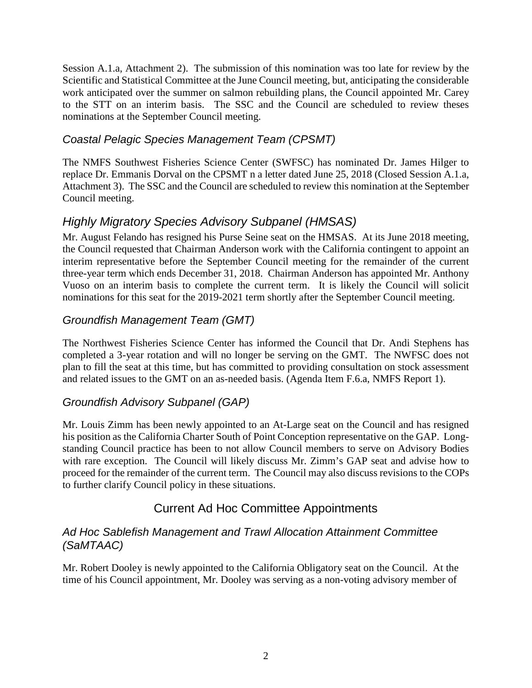Session A.1.a, Attachment 2). The submission of this nomination was too late for review by the Scientific and Statistical Committee at the June Council meeting, but, anticipating the considerable work anticipated over the summer on salmon rebuilding plans, the Council appointed Mr. Carey to the STT on an interim basis. The SSC and the Council are scheduled to review theses nominations at the September Council meeting.

### *Coastal Pelagic Species Management Team (CPSMT)*

The NMFS Southwest Fisheries Science Center (SWFSC) has nominated Dr. James Hilger to replace Dr. Emmanis Dorval on the CPSMT n a letter dated June 25, 2018 (Closed Session A.1.a, Attachment 3). The SSC and the Council are scheduled to review this nomination at the September Council meeting.

# *Highly Migratory Species Advisory Subpanel (HMSAS)*

Mr. August Felando has resigned his Purse Seine seat on the HMSAS. At its June 2018 meeting, the Council requested that Chairman Anderson work with the California contingent to appoint an interim representative before the September Council meeting for the remainder of the current three-year term which ends December 31, 2018. Chairman Anderson has appointed Mr. Anthony Vuoso on an interim basis to complete the current term. It is likely the Council will solicit nominations for this seat for the 2019-2021 term shortly after the September Council meeting.

### *Groundfish Management Team (GMT)*

The Northwest Fisheries Science Center has informed the Council that Dr. Andi Stephens has completed a 3-year rotation and will no longer be serving on the GMT. The NWFSC does not plan to fill the seat at this time, but has committed to providing consultation on stock assessment and related issues to the GMT on an as-needed basis. (Agenda Item F.6.a, NMFS Report 1).

### *Groundfish Advisory Subpanel (GAP)*

Mr. Louis Zimm has been newly appointed to an At-Large seat on the Council and has resigned his position as the California Charter South of Point Conception representative on the GAP. Longstanding Council practice has been to not allow Council members to serve on Advisory Bodies with rare exception. The Council will likely discuss Mr. Zimm's GAP seat and advise how to proceed for the remainder of the current term. The Council may also discuss revisions to the COPs to further clarify Council policy in these situations.

## Current Ad Hoc Committee Appointments

### *Ad Hoc Sablefish Management and Trawl Allocation Attainment Committee (SaMTAAC)*

Mr. Robert Dooley is newly appointed to the California Obligatory seat on the Council. At the time of his Council appointment, Mr. Dooley was serving as a non-voting advisory member of